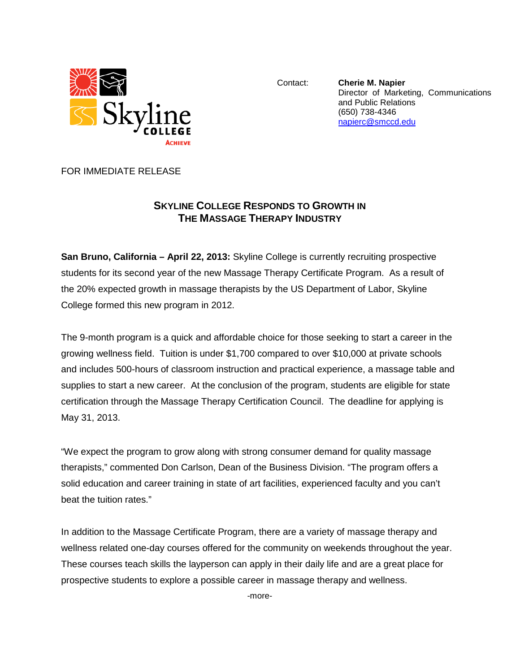

Contact: **Cherie M. Napier** Director of Marketing, Communications and Public Relations (650) 738-4346 [napierc@smccd.edu](mailto:napierc@smccd.edu)

FOR IMMEDIATE RELEASE

## **SKYLINE COLLEGE RESPONDS TO GROWTH IN THE MASSAGE THERAPY INDUSTRY**

**San Bruno, California – April 22, 2013:** Skyline College is currently recruiting prospective students for its second year of the new Massage Therapy Certificate Program. As a result of the 20% expected growth in massage therapists by the US Department of Labor, Skyline College formed this new program in 2012.

The 9-month program is a quick and affordable choice for those seeking to start a career in the growing wellness field. Tuition is under \$1,700 compared to over \$10,000 at private schools and includes 500-hours of classroom instruction and practical experience, a massage table and supplies to start a new career. At the conclusion of the program, students are eligible for state certification through the Massage Therapy Certification Council. The deadline for applying is May 31, 2013.

"We expect the program to grow along with strong consumer demand for quality massage therapists," commented Don Carlson, Dean of the Business Division. "The program offers a solid education and career training in state of art facilities, experienced faculty and you can't beat the tuition rates."

In addition to the Massage Certificate Program, there are a variety of massage therapy and wellness related one-day courses offered for the community on weekends throughout the year. These courses teach skills the layperson can apply in their daily life and are a great place for prospective students to explore a possible career in massage therapy and wellness.

-more-